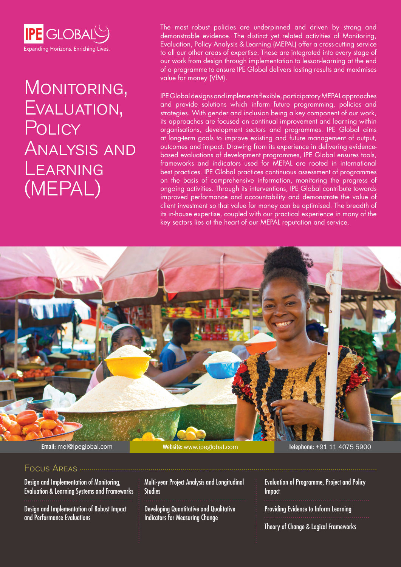

# MONITORING, Evaluation, POLICY Analysis and LEARNING (MEPAL)

The most robust policies are underpinned and driven by strong and demonstrable evidence. The distinct yet related activities of Monitoring, Evaluation, Policy Analysis & Learning (MEPAL) offer a cross-cutting service to all our other areas of expertise. These are integrated into every stage of our work from design through implementation to lesson-learning at the end of a programme to ensure IPE Global delivers lasting results and maximises value for money (VfM).

IPE Global designs and implements flexible, participatory MEPAL approaches and provide solutions which inform future programming, policies and strategies. With gender and inclusion being a key component of our work, its approaches are focused on continual improvement and learning within organisations, development sectors and programmes. IPE Global aims at long-term goals to improve existing and future management of output, outcomes and impact. Drawing from its experience in delivering evidencebased evaluations of development programmes, IPE Global ensures tools, frameworks and indicators used for MEPAL are rooted in international best practices. IPE Global practices continuous assessment of programmes on the basis of comprehensive information, monitoring the progress of ongoing activities. Through its interventions, IPE Global contribute towards improved performance and accountability and demonstrate the value of client investment so that value for money can be optimised. The breadth of its in-house expertise, coupled with our practical experience in many of the key sectors lies at the heart of our MEPAL reputation and service.



# Focus Areas

Design and Implementation of Monitoring, Evaluation & Learning Systems and Frameworks

Design and Implementation of Robust Impact and Performance Evaluations

Multi-year Project Analysis and Longitudinal **Studies** 

Developing Quantitative and Qualitative Indicators for Measuring Change

Evaluation of Programme, Project and Policy **Impact** 

Providing Evidence to Inform Learning Theory of Change & Logical Frameworks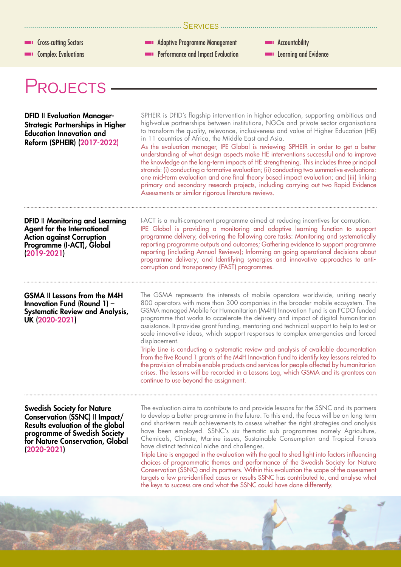| <b>Cross-cutting Sectors</b><br><b>Complex Evaluations</b>                                                                                                                                           | <b>Adaptive Programme Management</b><br><b>EXECUTE:</b> Performance and Impact Evaluation                                                                                                                                                                                                                                                                                                                                                                                                                                                                                                                                                                                                                                                                                                                                                                                                                                                                          | <b>Accountability</b><br><b>EXECUTE:</b> Learning and Evidence |
|------------------------------------------------------------------------------------------------------------------------------------------------------------------------------------------------------|--------------------------------------------------------------------------------------------------------------------------------------------------------------------------------------------------------------------------------------------------------------------------------------------------------------------------------------------------------------------------------------------------------------------------------------------------------------------------------------------------------------------------------------------------------------------------------------------------------------------------------------------------------------------------------------------------------------------------------------------------------------------------------------------------------------------------------------------------------------------------------------------------------------------------------------------------------------------|----------------------------------------------------------------|
| PROJECTS                                                                                                                                                                                             |                                                                                                                                                                                                                                                                                                                                                                                                                                                                                                                                                                                                                                                                                                                                                                                                                                                                                                                                                                    |                                                                |
| <b>DFID II Evaluation Manager-</b><br><b>Strategic Partnerships in Higher</b><br><b>Education Innovation and</b><br>Reform (SPHEIR) (2017-2022)                                                      | SPHEIR is DFID's flagship intervention in higher education, supporting ambitious and<br>high-value partnerships between institutions, NGOs and private sector organisations<br>to transform the quality, relevance, inclusiveness and value of Higher Education (HE)<br>in 11 countries of Africa, the Middle East and Asia.<br>As the evaluation manager, IPE Global is reviewing SPHEIR in order to get a better<br>understanding of what design aspects make HE interventions successful and to improve<br>the knowledge on the long-term impacts of HE strengthening. This includes three principal<br>strands: (i) conducting a formative evaluation; (ii) conducting two summative evaluations:<br>one mid-term evaluation and one final theory based impact evaluation; and (iii) linking<br>primary and secondary research projects, including carrying out two Rapid Evidence<br>Assessments or similar rigorous literature reviews.                      |                                                                |
| <b>DFID II Monitoring and Learning</b><br>Agent for the International<br><b>Action against Corruption</b><br>Programme (I-ACT), Global<br>$(2019 - 2021)$                                            | I-ACT is a multi-component programme aimed at reducing incentives for corruption.<br>IPE Global is providing a monitoring and adaptive learning function to support<br>programme delivery, delivering the following core tasks: Monitoring and systematically<br>reporting programme outputs and outcomes; Gathering evidence to support programme<br>reporting (including Annual Reviews); Informing on-going operational decisions about<br>programme delivery; and Identifying synergies and innovative approaches to anti-<br>corruption and transparency (FAST) programmes.                                                                                                                                                                                                                                                                                                                                                                                   |                                                                |
| <b>GSMA II Lessons from the M4H</b><br>Innovation Fund (Round 1) -<br><b>Systematic Review and Analysis,</b><br>UK (2020-2021)                                                                       | The GSMA represents the interests of mobile operators worldwide, uniting nearly<br>800 operators with more than 300 companies in the broader mobile ecosystem. The<br>GSMA managed Mobile for Humanitarian (M4H) Innovation Fund is an FCDO funded<br>programme that works to accelerate the delivery and impact of digital humanitarian<br>assistance. It provides grant funding, mentoring and technical support to help to test or<br>scale innovative ideas, which support responses to complex emergencies and forced<br>displacement.<br>Triple Line is conducting a systematic review and analysis of available documentation<br>from the five Round 1 grants of the M4H Innovation Fund to identify key lessons related to<br>the provision of mobile enable products and services for people affected by humanitarian<br>crises. The lessons will be recorded in a Lessons Log, which GSMA and its grantees can<br>continue to use beyond the assignment. |                                                                |
| <b>Swedish Society for Nature</b><br><b>Conservation (SSNC) Il Impact/</b><br>Results evaluation of the global<br>programme of Swedish Society<br>for Nature Conservation, Global<br>$(2020 - 2021)$ | The evaluation aims to contribute to and provide lessons for the SSNC and its partners<br>to develop a better programme in the future. To this end, the focus will be on long term<br>and short-term result achievements to assess whether the right strategies and analysis<br>have been employed. SSNC's six thematic sub programmes namely Agriculture,<br>Chemicals, Climate, Marine issues, Sustainable Consumption and Tropical Forests<br>have distinct technical niche and challenges.<br>Triple Line is engaged in the evaluation with the goal to shed light into factors influencing<br>choices of programmatic themes and performance of the Swedish Society for Nature<br>Conservation (SSNC) and its partners. Within this evaluation the scope of the assessment<br>targets a few pre-identified cases or results SSNC has contributed to, and analyse what<br>the keys to success are and what the SSNC could have done differently.               |                                                                |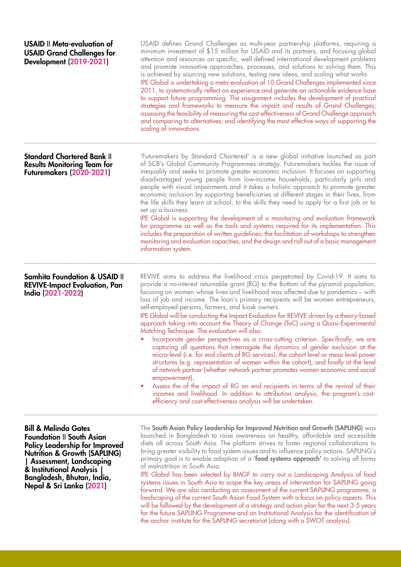| <b>USAID II Meta-evaluation of</b><br><b>USAID Grand Challenges for</b><br><b>Development (2019-2021)</b>                                                                                                                                                                       | USAID defines Grand Challenges as multi-year partnership platforms, requiring a<br>minimum investment of \$15 million for USAID and its partners, and focusing global<br>attention and resources on specific, well defined international development problems<br>and promote innovative approaches, processes, and solutions to solving them. This<br>is achieved by sourcing new solutions, testing new ideas, and scaling what works.<br>IPE Global is undertaking a meta-evaluation of 10 Grand Challenges implemented since<br>2011, to systematically reflect on experience and generate an actionable evidence base<br>to support future programming. The assignment includes the development of practical<br>strategies and frameworks to measure the impact and results of Grand Challenges;<br>assessing the feasibility of measuring the cost-effectiveness of Grand Challenge approach<br>and comparing to alternatives; and identifying the most effective ways of supporting the<br>scaling of innovations.                                                                                                                                                                                                                                                                                                                                            |
|---------------------------------------------------------------------------------------------------------------------------------------------------------------------------------------------------------------------------------------------------------------------------------|---------------------------------------------------------------------------------------------------------------------------------------------------------------------------------------------------------------------------------------------------------------------------------------------------------------------------------------------------------------------------------------------------------------------------------------------------------------------------------------------------------------------------------------------------------------------------------------------------------------------------------------------------------------------------------------------------------------------------------------------------------------------------------------------------------------------------------------------------------------------------------------------------------------------------------------------------------------------------------------------------------------------------------------------------------------------------------------------------------------------------------------------------------------------------------------------------------------------------------------------------------------------------------------------------------------------------------------------------------------------|
| <b>Standard Chartered Bank II</b><br><b>Results Monitoring Team for</b><br><b>Futuremakers (2020-2021)</b>                                                                                                                                                                      | 'Futuremakers by Standard Chartered' is a new global initiative launched as part<br>of SCB's Global Community Programmes strategy. Futuremakers tackles the issue of<br>inequality and seeks to promote greater economic inclusion. It focuses on supporting<br>disadvantaged young people from low-income households, particularly girls and<br>people with visual impairments and it takes a holistic approach to promote greater<br>economic inclusion by supporting beneficiaries at different stages in their lives, from<br>the life skills they learn at school, to the skills they need to apply for a first job or to<br>set up a business.<br>IPE Global is supporting the development of a monitoring and evaluation framework<br>for programme as well as the tools and systems required for its implementation. This<br>includes the preparation of written guidelines; the facilitation of workshops to strengthen<br>monitoring and evaluation capacities, and the design and roll out of a basic management<br>information system.                                                                                                                                                                                                                                                                                                                  |
| <b>Samhita Foundation &amp; USAID II</b><br><b>REVIVE-Impact Evaluation, Pan</b><br>India (2021-2022)                                                                                                                                                                           | REVIVE aims to address the livelihood crisis perpetrated by Covid-19. It aims to<br>provide a no-interest returnable grant (RG) to the Bottom of the pyramid population,<br>focusing on women whose lives and livelihood was affected due to pandemics - with<br>loss of job and income. The loan's primary recipients will be women entrepreneurs,<br>self-employed persons, farmers, and kiosk owners.<br>IPE Global will be conducting the Impact Evaluation for REVIVE driven by a theory-based<br>approach taking into account the Theory of Change (ToC) using a Quasi-Experimental<br>Matching Technique. The evaluation will also:<br>Incorporate gender perspectives as a cross-cutting criterion. Specifically, we are<br>capturing all questions that interrogate the dynamics of gender exclusion at the<br>micro-level (i.e. for end clients of RG services), the cohort level or meso level power<br>structures (e.g. representation of women within the cohort), and finally at the level<br>of network partner (whether network partner promotes women economic and social<br>empowerment),<br>Assess the of the impact of RG on end recipients in terms of the revival of their<br>$\bullet$<br>incomes and livelihood. In addition to attribution analysis, the program's cost-<br>efficiency and cost-effectiveness analysis will be undertaken. |
| <b>Bill &amp; Melinda Gates</b><br><b>Foundation II South Asian</b><br><b>Policy Leadership for Improved</b><br><b>Nutrition &amp; Growth (SAPLING)</b><br><b>Assessment, Landscaping</b><br>& Institutional Analysis<br>Bangladesh, Bhutan, India,<br>Nepal & Sri Lanka (2021) | The South Asian Policy Leadership for Improved Nutrition and Growth (SAPLING) was<br>launched in Bangladesh to raise awareness on healthy, affordable and accessible<br>diets all across South Asia. The platform strives to foster regional collaborations to<br>bring greater visibility to food system issues and to influence policy actions. SAPLING's<br>primary goal is to enable adoption of a <b>'food systems approach'</b> to solving all forms<br>of malnutrition in South Asia.<br>IPE Global has been selected by BMGF to carry out a Landscaping Analysis of food<br>systems issues in South Asia to scope the key areas of intervention for SAPLING going<br>forward. We are also conducting an assessment of the current SAPLING programme, a<br>landscaping of the current South Asian Food System with a focus on policy aspects. This<br>will be followed by the development of a strategy and action plan for the next 3-5 years<br>for the future SAPLING Programme and an Institutional Analysis for the identification of<br>the anchor institute for the SAPLING secretariat (along with a SWOT analysis).                                                                                                                                                                                                                                 |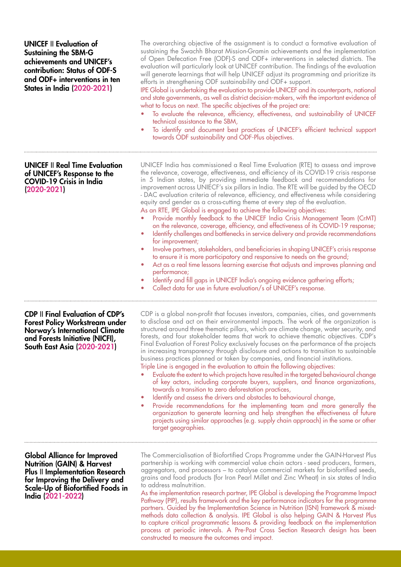# UNICEF II Evaluation of Sustaining the SBM-G achievements and UNICEF's contribution: Status of ODF-S and ODF+ interventions in ten States in India (2020-2021)

The overarching objective of the assignment is to conduct a formative evaluation of sustaining the Swachh Bharat Mission-Gramin achievements and the implementation of Open Defecation Free (ODF)-S and ODF+ interventions in selected districts. The evaluation will particularly look at UNICEF contribution. The findings of the evaluation will generate learnings that will help UNICEF adjust its programming and prioritize its efforts in strengthening ODF sustainability and ODF+ support.

IPE Global is undertaking the evaluation to provide UNICEF and its counterparts, national and state governments, as well as district decision-makers, with the important evidence of what to focus on next. The specific objectives of the project are:

- To evaluate the relevance, efficiency, effectiveness, and sustainability of UNICEF technical assistance to the SBM,
- To identify and document best practices of UNICEF's efficient technical support towards ODF sustainability and ODF-Plus objectives.

| <b>UNICEF II Real Time Evaluation</b> |  |
|---------------------------------------|--|
| of UNICEF's Response to the           |  |
| <b>COVID-19 Crisis in India</b>       |  |
| $(2020 - 2021)$                       |  |

UNICEF India has commissioned a Real Time Evaluation (RTE) to assess and improve the relevance, coverage, effectiveness, and efficiency of its COVID-19 crisis response in 5 Indian states, by providing immediate feedback and recommendations for improvement across UNIECF's six pillars in India. The RTE will be guided by the OECD - DAC evaluation criteria of relevance, efficiency, and effectiveness while considering equity and gender as a cross-cutting theme at every step of the evaluation. As an RTE, IPE Global is engaged to achieve the following objectives:

- Provide monthly feedback to the UNICEF India Crisis Management Team (CrMT) on the relevance, coverage, efficiency, and effectiveness of its COVID-19 response;
- Identify challenges and bottlenecks in service delivery and provide recommendations for improvement;
- Involve partners, stakeholders, and beneficiaries in shaping UNICEF's crisis response to ensure it is more participatory and responsive to needs on the ground;
- Act as a real time lessons learning exercise that adjusts and improves planning and performance;
- Identify and fill gaps in UNICEF India's ongoing evidence gathering efforts;
- Collect data for use in future evaluation/s of UNICEF's response.

CDP II Final Evaluation of CDP's Forest Policy Workstream under Norway's International Climate and Forests Initiative (NICFI), South East Asia (2020-2021)

CDP is a global non-profit that focuses investors, companies, cities, and governments to disclose and act on their environmental impacts. The work of the organization is structured around three thematic pillars, which are climate change, water security, and forests, and four stakeholder teams that work to achieve thematic objectives. CDP's Final Evaluation of Forest Policy exclusively focuses on the performance of the projects in increasing transparency through disclosure and actions to transition to sustainable business practices planned or taken by companies, and financial institutions.

Triple Line is engaged in the evaluation to attain the following objectives:

- Evaluate the extent to which projects have resulted in the targeted behavioural change of key actors, including corporate buyers, suppliers, and finance organizations, towards a transition to zero deforestation practices,
- Identify and assess the drivers and obstacles to behavioural change,
- Provide recommendations for the implementing team and more generally the organization to generate learning and help strengthen the effectiveness of future projects using similar approaches (e.g. supply chain approach) in the same or other target geographies.

Global Alliance for Improved Nutrition (GAIN) & Harvest Plus II Implementation Research for Improving the Delivery and Scale-Up of Biofortified Foods in India (2021-2022)

The Commercialisation of Biofortified Crops Programme under the GAIN-Harvest Plus partnership is working with commercial value chain actors - seed producers, farmers, aggregators, and processors – to catalyse commercial markets for biofortified seeds, grains and food products (for Iron Pearl Millet and Zinc Wheat) in six states of India to address malnutrition.

As the implementation research partner, IPE Global is developing the Programme Impact Pathway (PIP), results framework and the key performance indicators for the programme partners. Guided by the Implementation Science in Nutrition (ISN) framework & mixedmethods data collection & analysis. IPE Global is also helping GAIN & Harvest Plus to capture critical programmatic lessons & providing feedback on the implementation process at periodic intervals. A Pre-Post Cross Section Research design has been constructed to measure the outcomes and impact.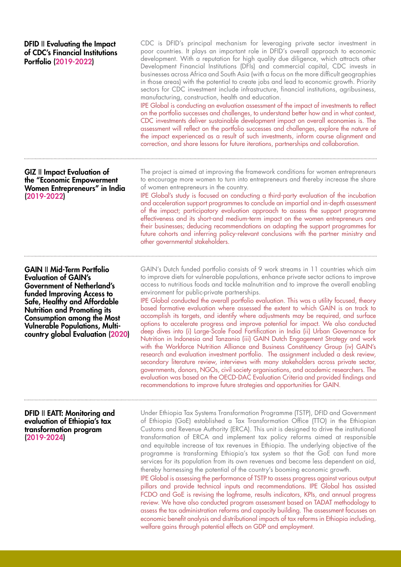### DFID II Evaluating the Impact of CDC's Financial Institutions Portfolio (2019-2022)

#### GIZ II Impact Evaluation of the "Economic Empowerment Women Entrepreneurs" in India (2019-2022)

#### GAIN II Mid-Term Portfolio Evaluation of GAIN's Government of Netherland's funded Improving Access to Safe, Healthy and Affordable Nutrition and Promoting its Consumption among the Most Vulnerable Populations, Multicountry global Evaluation (2020)

#### DFID II EATT: Monitoring and evaluation of Ethiopia's tax transformation program (2019-2024)

CDC is DFID's principal mechanism for leveraging private sector investment in poor countries. It plays an important role in DFID's overall approach to economic development. With a reputation for high quality due diligence, which attracts other Development Financial Institutions (DFIs) and commercial capital, CDC invests in businesses across Africa and South Asia (with a focus on the more difficult geographies in those areas) with the potential to create jobs and lead to economic growth. Priority sectors for CDC investment include infrastructure, financial institutions, agribusiness, manufacturing, construction, health and education.

IPE Global is conducting an evaluation assessment of the impact of investments to reflect on the portfolio successes and challenges, to understand better how and in what context, CDC investments deliver sustainable development impact on overall economies is. The assessment will reflect on the portfolio successes and challenges, explore the nature of the impact experienced as a result of such investments, inform course alignment and correction, and share lessons for future iterations, partnerships and collaboration.

The project is aimed at improving the framework conditions for women entrepreneurs to encourage more women to turn into entrepreneurs and thereby increase the share of women entrepreneurs in the country.

IPE Global's study is focused on conducting a third-party evaluation of the incubation and acceleration support programmes to conclude an impartial and in-depth assessment of the impact; participatory evaluation approach to assess the support programme effectiveness and its short-and medium-term impact on the women entrepreneurs and their businesses; deducing recommendations on adapting the support programmes for future cohorts and inferring policy-relevant conclusions with the partner ministry and other governmental stakeholders.

GAIN's Dutch funded portfolio consists of 9 work streams in 11 countries which aim to improve diets for vulnerable populations, enhance private sector actions to improve access to nutritious foods and tackle malnutrition and to improve the overall enabling environment for public-private partnerships.

IPE Global conducted the overall portfolio evaluation. This was a utility focused, theory based formative evaluation where assessed the extent to which GAIN is on track to accomplish its targets, and identify where adjustments may be required, and surface options to accelerate progress and improve potential for impact. We also conducted deep dives into (i) Large-Scale Food Fortification in India (ii) Urban Governance for Nutrition in Indonesia and Tanzania (iii) GAIN Dutch Engagement Strategy and work with the Workforce Nutrition Alliance and Business Constituency Group (iv) GAIN's research and evaluation investment portfolio. The assignment included a desk review, secondary literature review, interviews with many stakeholders across private sector, governments, donors, NGOs, civil society organisations, and academic researchers. The evaluation was based on the OECD-DAC Evaluation Criteria and provided findings and recommendations to improve future strategies and opportunities for GAIN.

Under Ethiopia Tax Systems Transformation Programme (TSTP), DFID and Government of Ethiopia (GoE) established a Tax Transformation Office (TTO) in the Ethiopian Customs and Revenue Authority (ERCA). This unit is designed to drive the institutional transformation of ERCA and implement tax policy reforms aimed at responsible and equitable increase of tax revenues in Ethiopia. The underlying objective of the programme is transforming Ethiopia's tax system so that the GoE can fund more services for its population from its own revenues and become less dependent on aid, thereby harnessing the potential of the country's booming economic growth.

IPE Global is assessing the performance of TSTP to assess progress against various output pillars and provide technical inputs and recommendations. IPE Global has assisted FCDO and GoE is revising the logframe, results indicators, KPIs, and annual progress review. We have also conducted program assessment based on TADAT methodology to assess the tax administration reforms and capacity building. The assessment focusses on economic benefit analysis and distributional impacts of tax reforms in Ethiopia including, welfare gains through potential effects on GDP and employment.